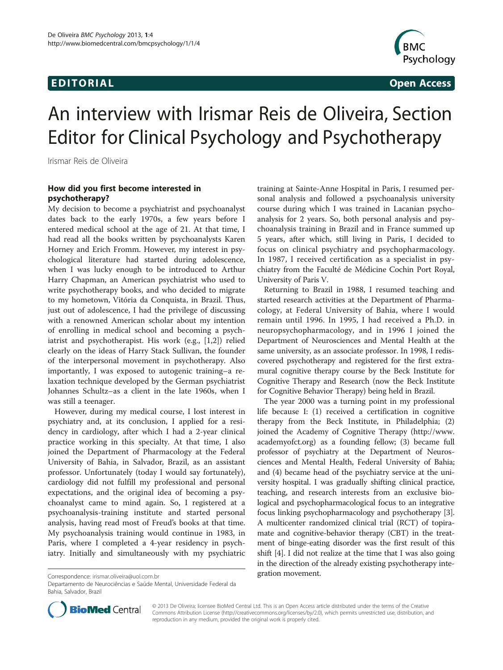# EDI TORIA L Open Access



# An interview with Irismar Reis de Oliveira, Section Editor for Clinical Psychology and Psychotherapy

Irismar Reis de Oliveira

#### How did you first become interested in psychotherapy?

My decision to become a psychiatrist and psychoanalyst dates back to the early 1970s, a few years before I entered medical school at the age of 21. At that time, I had read all the books written by psychoanalysts Karen Horney and Erich Fromm. However, my interest in psychological literature had started during adolescence, when I was lucky enough to be introduced to Arthur Harry Chapman, an American psychiatrist who used to write psychotherapy books, and who decided to migrate to my hometown, Vitória da Conquista, in Brazil. Thus, just out of adolescence, I had the privilege of discussing with a renowned American scholar about my intention of enrolling in medical school and becoming a psychiatrist and psychotherapist. His work (e.g., [[1,2\]](#page-3-0)) relied clearly on the ideas of Harry Stack Sullivan, the founder of the interpersonal movement in psychotherapy. Also importantly, I was exposed to autogenic training–a relaxation technique developed by the German psychiatrist Johannes Schultz–as a client in the late 1960s, when I was still a teenager.

However, during my medical course, I lost interest in psychiatry and, at its conclusion, I applied for a residency in cardiology, after which I had a 2-year clinical practice working in this specialty. At that time, I also joined the Department of Pharmacology at the Federal University of Bahia, in Salvador, Brazil, as an assistant professor. Unfortunately (today I would say fortunately), cardiology did not fulfill my professional and personal expectations, and the original idea of becoming a psychoanalyst came to mind again. So, I registered at a psychoanalysis-training institute and started personal analysis, having read most of Freud's books at that time. My psychoanalysis training would continue in 1983, in Paris, where I completed a 4-year residency in psychiatry. Initially and simultaneously with my psychiatric

training at Sainte-Anne Hospital in Paris, I resumed personal analysis and followed a psychoanalysis university course during which I was trained in Lacanian psychoanalysis for 2 years. So, both personal analysis and psychoanalysis training in Brazil and in France summed up 5 years, after which, still living in Paris, I decided to focus on clinical psychiatry and psychopharmacology. In 1987, I received certification as a specialist in psychiatry from the Faculté de Médicine Cochin Port Royal, University of Paris V.

Returning to Brazil in 1988, I resumed teaching and started research activities at the Department of Pharmacology, at Federal University of Bahia, where I would remain until 1996. In 1995, I had received a Ph.D. in neuropsychopharmacology, and in 1996 I joined the Department of Neurosciences and Mental Health at the same university, as an associate professor. In 1998, I rediscovered psychotherapy and registered for the first extramural cognitive therapy course by the Beck Institute for Cognitive Therapy and Research (now the Beck Institute for Cognitive Behavior Therapy) being held in Brazil.

The year 2000 was a turning point in my professional life because I: (1) received a certification in cognitive therapy from the Beck Institute, in Philadelphia; (2) joined the Academy of Cognitive Therapy ([http://www.](http://www.academyofct.org/) [academyofct.org](http://www.academyofct.org/)) as a founding fellow; (3) became full professor of psychiatry at the Department of Neurosciences and Mental Health, Federal University of Bahia; and (4) became head of the psychiatry service at the university hospital. I was gradually shifting clinical practice, teaching, and research interests from an exclusive biological and psychopharmacological focus to an integrative focus linking psychopharmacology and psychotherapy [[3](#page-3-0)]. A multicenter randomized clinical trial (RCT) of topiramate and cognitive-behavior therapy (CBT) in the treatment of binge-eating disorder was the first result of this shift [\[4\]](#page-3-0). I did not realize at the time that I was also going in the direction of the already existing psychotherapy integration movement. Correspondence: [irismar.oliveira@uol.com.br](mailto:irismar.oliveira@uol.com.br)

Departamento de Neurociências e Saúde Mental, Universidade Federal da Bahia, Salvador, Brazil



© 2013 De Oliveira; licensee BioMed Central Ltd. This is an Open Access article distributed under the terms of the Creative Commons Attribution License [\(http://creativecommons.org/licenses/by/2.0\)](http://creativecommons.org/licenses/by/2.0), which permits unrestricted use, distribution, and reproduction in any medium, provided the original work is properly cited.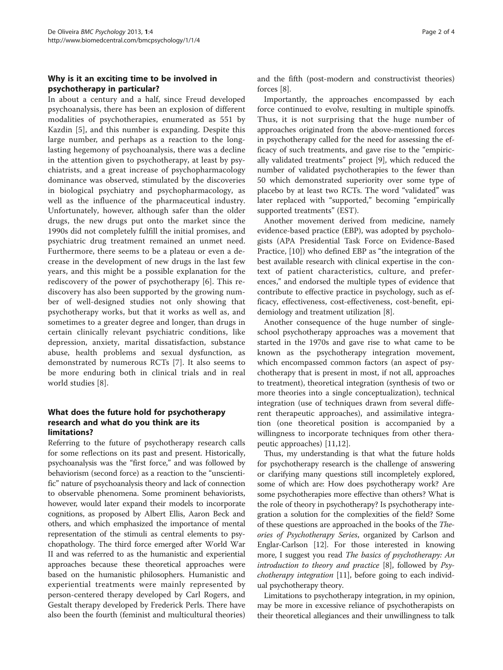# Why is it an exciting time to be involved in psychotherapy in particular?

In about a century and a half, since Freud developed psychoanalysis, there has been an explosion of different modalities of psychotherapies, enumerated as 551 by Kazdin [[5\]](#page-3-0), and this number is expanding. Despite this large number, and perhaps as a reaction to the longlasting hegemony of psychoanalysis, there was a decline in the attention given to psychotherapy, at least by psychiatrists, and a great increase of psychopharmacology dominance was observed, stimulated by the discoveries in biological psychiatry and psychopharmacology, as well as the influence of the pharmaceutical industry. Unfortunately, however, although safer than the older drugs, the new drugs put onto the market since the 1990s did not completely fulfill the initial promises, and psychiatric drug treatment remained an unmet need. Furthermore, there seems to be a plateau or even a decrease in the development of new drugs in the last few years, and this might be a possible explanation for the rediscovery of the power of psychotherapy [[6\]](#page-3-0). This rediscovery has also been supported by the growing number of well-designed studies not only showing that psychotherapy works, but that it works as well as, and sometimes to a greater degree and longer, than drugs in certain clinically relevant psychiatric conditions, like depression, anxiety, marital dissatisfaction, substance abuse, health problems and sexual dysfunction, as demonstrated by numerous RCTs [[7\]](#page-3-0). It also seems to be more enduring both in clinical trials and in real world studies [[8](#page-3-0)].

#### What does the future hold for psychotherapy research and what do you think are its limitations?

Referring to the future of psychotherapy research calls for some reflections on its past and present. Historically, psychoanalysis was the "first force," and was followed by behaviorism (second force) as a reaction to the "unscientific" nature of psychoanalysis theory and lack of connection to observable phenomena. Some prominent behaviorists, however, would later expand their models to incorporate cognitions, as proposed by Albert Ellis, Aaron Beck and others, and which emphasized the importance of mental representation of the stimuli as central elements to psychopathology. The third force emerged after World War II and was referred to as the humanistic and experiential approaches because these theoretical approaches were based on the humanistic philosophers. Humanistic and experiential treatments were mainly represented by person-centered therapy developed by Carl Rogers, and Gestalt therapy developed by Frederick Perls. There have also been the fourth (feminist and multicultural theories)

and the fifth (post-modern and constructivist theories) forces [[8\]](#page-3-0).

Importantly, the approaches encompassed by each force continued to evolve, resulting in multiple spinoffs. Thus, it is not surprising that the huge number of approaches originated from the above-mentioned forces in psychotherapy called for the need for assessing the efficacy of such treatments, and gave rise to the "empirically validated treatments" project [\[9\]](#page-3-0), which reduced the number of validated psychotherapies to the fewer than 50 which demonstrated superiority over some type of placebo by at least two RCTs. The word "validated" was later replaced with "supported," becoming "empirically supported treatments" (EST).

Another movement derived from medicine, namely evidence-based practice (EBP), was adopted by psychologists (APA Presidential Task Force on Evidence-Based Practice, [\[10](#page-3-0)]) who defined EBP as "the integration of the best available research with clinical expertise in the context of patient characteristics, culture, and preferences," and endorsed the multiple types of evidence that contribute to effective practice in psychology, such as efficacy, effectiveness, cost-effectiveness, cost-benefit, epidemiology and treatment utilization [[8\]](#page-3-0).

Another consequence of the huge number of singleschool psychotherapy approaches was a movement that started in the 1970s and gave rise to what came to be known as the psychotherapy integration movement, which encompassed common factors (an aspect of psychotherapy that is present in most, if not all, approaches to treatment), theoretical integration (synthesis of two or more theories into a single conceptualization), technical integration (use of techniques drawn from several different therapeutic approaches), and assimilative integration (one theoretical position is accompanied by a willingness to incorporate techniques from other therapeutic approaches) [[11,12\]](#page-3-0).

Thus, my understanding is that what the future holds for psychotherapy research is the challenge of answering or clarifying many questions still incompletely explored, some of which are: How does psychotherapy work? Are some psychotherapies more effective than others? What is the role of theory in psychotherapy? Is psychotherapy integration a solution for the complexities of the field? Some of these questions are approached in the books of the Theories of Psychotherapy Series, organized by Carlson and Englar-Carlson [\[12\]](#page-3-0). For those interested in knowing more, I suggest you read The basics of psychotherapy: An introduction to theory and practice [\[8](#page-3-0)], followed by Psychotherapy integration [[11](#page-3-0)], before going to each individual psychotherapy theory.

Limitations to psychotherapy integration, in my opinion, may be more in excessive reliance of psychotherapists on their theoretical allegiances and their unwillingness to talk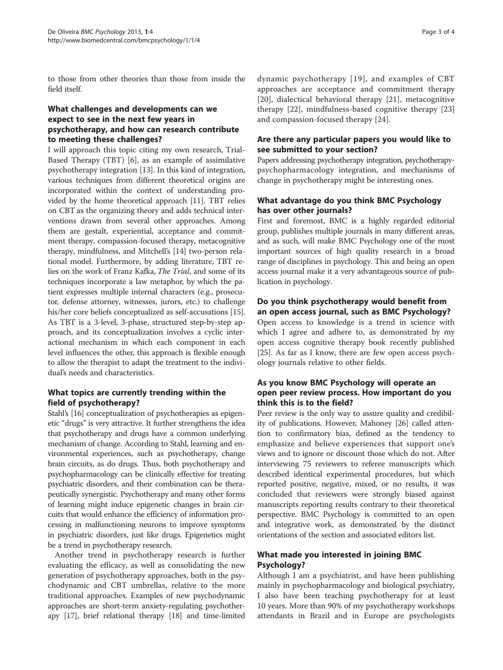to those from other theories than those from inside the field itself.

## What challenges and developments can we expect to see in the next few years in psychotherapy, and how can research contribute to meeting these challenges?

I will approach this topic citing my own research, Trial-Based Therapy (TBT) [\[6](#page-3-0)], as an example of assimilative psychotherapy integration [\[13](#page-3-0)]. In this kind of integration, various techniques from different theoretical origins are incorporated within the context of understanding provided by the home theoretical approach [\[11](#page-3-0)]. TBT relies on CBT as the organizing theory and adds technical interventions drawn from several other approaches. Among them are gestalt, experiential, acceptance and commitment therapy, compassion-focused therapy, metacognitive therapy, mindfulness, and Mitchell's [\[14\]](#page-3-0) two-person relational model. Furthermore, by adding literature, TBT relies on the work of Franz Kafka, The Trial, and some of its techniques incorporate a law metaphor, by which the patient expresses multiple internal characters (e.g., prosecutor, defense attorney, witnesses, jurors, etc.) to challenge his/her core beliefs conceptualized as self-accusations [[15](#page-3-0)]. As TBT is a 3-level, 3-phase, structured step-by-step approach, and its conceptualization involves a cyclic interactional mechanism in which each component in each level influences the other, this approach is flexible enough to allow the therapist to adapt the treatment to the individual's needs and characteristics.

## What topics are currently trending within the field of psychotherapy?

Stahl's [\[16](#page-3-0)] conceptualization of psychotherapies as epigenetic "drugs" is very attractive. It further strengthens the idea that psychotherapy and drugs have a common underlying mechanism of change. According to Stahl, learning and environmental experiences, such as psychotherapy, change brain circuits, as do drugs. Thus, both psychotherapy and psychopharmacology can be clinically effective for treating psychiatric disorders, and their combination can be therapeutically synergistic. Psychotherapy and many other forms of learning might induce epigenetic changes in brain circuits that would enhance the efficiency of information processing in malfunctioning neurons to improve symptoms in psychiatric disorders, just like drugs. Epigenetics might be a trend in psychotherapy research.

Another trend in psychotherapy research is further evaluating the efficacy, as well as consolidating the new generation of psychotherapy approaches, both in the psychodynamic and CBT umbrellas, relative to the more traditional approaches. Examples of new psychodynamic approaches are short-term anxiety-regulating psychotherapy [[17](#page-3-0)], brief relational therapy [\[18\]](#page-3-0) and time-limited dynamic psychotherapy [[19](#page-3-0)], and examples of CBT approaches are acceptance and commitment therapy [[20](#page-3-0)], dialectical behavioral therapy [\[21](#page-3-0)], metacognitive therapy [\[22](#page-3-0)], mindfulness-based cognitive therapy [\[23](#page-3-0)] and compassion-focused therapy [\[24](#page-3-0)].

## Are there any particular papers you would like to see submitted to your section?

Papers addressing psychotherapy integration, psychotherapypsychopharmacology integration, and mechanisms of change in psychotherapy might be interesting ones.

# What advantage do you think BMC Psychology has over other journals?

First and foremost, BMC is a highly regarded editorial group, publishes multiple journals in many different areas, and as such, will make BMC Psychology one of the most important sources of high quality research in a broad range of disciplines in psychology. This and being an open access journal make it a very advantageous source of publication in psychology.

#### Do you think psychotherapy would benefit from an open access journal, such as BMC Psychology?

Open access to knowledge is a trend in science with which I agree and adhere to, as demonstrated by my open access cognitive therapy book recently published [[25\]](#page-3-0). As far as I know, there are few open access psychology journals relative to other fields.

#### As you know BMC Psychology will operate an open peer review process. How important do you think this is to the field?

Peer review is the only way to assure quality and credibility of publications. However, Mahoney [\[26\]](#page-3-0) called attention to confirmatory bias, defined as the tendency to emphasize and believe experiences that support one's views and to ignore or discount those which do not. After interviewing 75 reviewers to referee manuscripts which described identical experimental procedures, but which reported positive, negative, mixed, or no results, it was concluded that reviewers were strongly biased against manuscripts reporting results contrary to their theoretical perspective. BMC Psychology is committed to an open and integrative work, as demonstrated by the distinct orientations of the section and associated editors list.

# What made you interested in joining BMC Psychology?

Although I am a psychiatrist, and have been publishing mainly in psychopharmacology and biological psychiatry, I also have been teaching psychotherapy for at least 10 years. More than 90% of my psychotherapy workshops attendants in Brazil and in Europe are psychologists